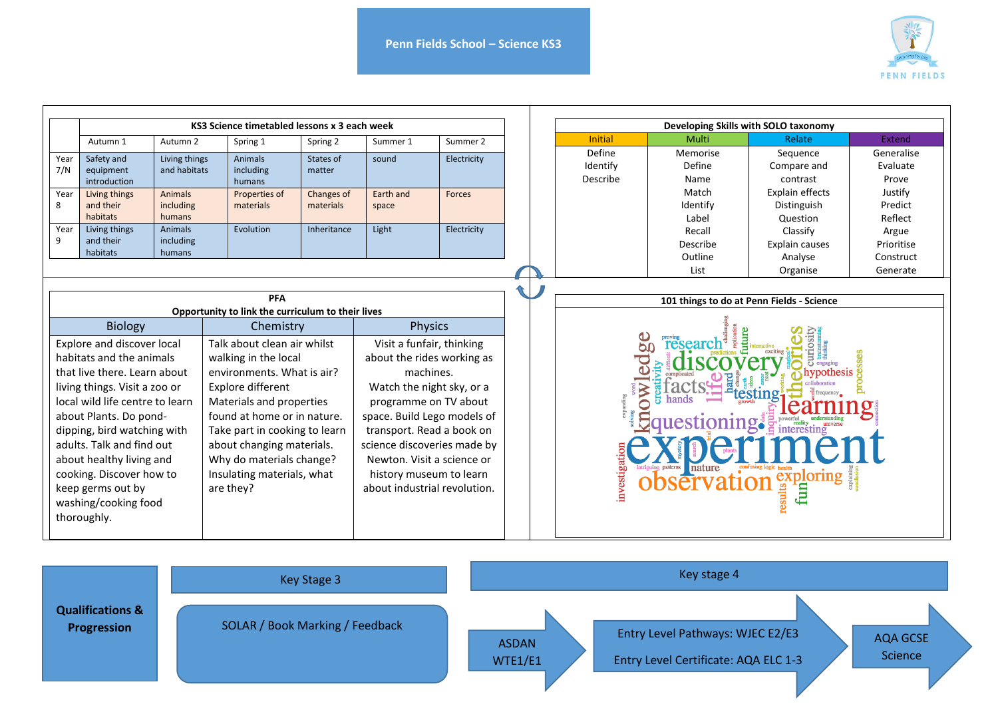

|                                                                                                                                                                                                                                                                                                                                                                                                                                                                                                                                                                                                                                                                                                                                                                                  | KS3 Science timetabled lessons x 3 each week |                                |                                       |                                                                                                                                                                                                                                                                                                                                  |                    |               |  |             | Developing Skills with SOLO taxonomy                                                                                               |                               |                                            |                                  |  |
|----------------------------------------------------------------------------------------------------------------------------------------------------------------------------------------------------------------------------------------------------------------------------------------------------------------------------------------------------------------------------------------------------------------------------------------------------------------------------------------------------------------------------------------------------------------------------------------------------------------------------------------------------------------------------------------------------------------------------------------------------------------------------------|----------------------------------------------|--------------------------------|---------------------------------------|----------------------------------------------------------------------------------------------------------------------------------------------------------------------------------------------------------------------------------------------------------------------------------------------------------------------------------|--------------------|---------------|--|-------------|------------------------------------------------------------------------------------------------------------------------------------|-------------------------------|--------------------------------------------|----------------------------------|--|
|                                                                                                                                                                                                                                                                                                                                                                                                                                                                                                                                                                                                                                                                                                                                                                                  | Autumn 1                                     | Autumn 2                       | Spring 1                              | Spring 2                                                                                                                                                                                                                                                                                                                         | Summer 1           | Summer 2      |  |             | <b>Initial</b>                                                                                                                     | Multi                         | Relate                                     | <b>Extend</b>                    |  |
| Year<br>7/N                                                                                                                                                                                                                                                                                                                                                                                                                                                                                                                                                                                                                                                                                                                                                                      | Safety and<br>equipment<br>introduction      | Living things<br>and habitats  | <b>Animals</b><br>including<br>humans | States of<br>matter                                                                                                                                                                                                                                                                                                              | sound              | Electricity   |  |             | Define<br>Identify<br>Describe                                                                                                     | Memorise<br>Define<br>Name    | Sequence<br>Compare and<br>contrast        | Generalise<br>Evaluate<br>Prove  |  |
| Year<br>8                                                                                                                                                                                                                                                                                                                                                                                                                                                                                                                                                                                                                                                                                                                                                                        | Living things<br>and their<br>habitats       | Animals<br>including<br>humans | Properties of<br>materials            | <b>Changes of</b><br>materials                                                                                                                                                                                                                                                                                                   | Earth and<br>space | <b>Forces</b> |  |             |                                                                                                                                    | Match<br>Identify<br>Label    | Explain effects<br>Distinguish<br>Question | Justify<br>Predict<br>Reflect    |  |
| Year<br>9                                                                                                                                                                                                                                                                                                                                                                                                                                                                                                                                                                                                                                                                                                                                                                        | Living things<br>and their<br>habitats       | Animals<br>including<br>humans | Evolution                             | Inheritance                                                                                                                                                                                                                                                                                                                      | Light              | Electricity   |  |             |                                                                                                                                    | Recall<br>Describe<br>Outline | Classify<br>Explain causes<br>Analyse      | Argue<br>Prioritise<br>Construct |  |
|                                                                                                                                                                                                                                                                                                                                                                                                                                                                                                                                                                                                                                                                                                                                                                                  |                                              |                                |                                       |                                                                                                                                                                                                                                                                                                                                  |                    |               |  |             |                                                                                                                                    | List                          | Organise                                   | Generate                         |  |
| <b>PFA</b><br>Opportunity to link the curriculum to their lives<br><b>Biology</b><br>Chemistry<br>Explore and discover local<br>Talk about clean air whilst<br>habitats and the animals<br>walking in the local<br>that live there. Learn about<br>environments. What is air?<br>Explore different<br>living things. Visit a zoo or<br>local wild life centre to learn<br>Materials and properties<br>found at home or in nature.<br>about Plants. Do pond-<br>Take part in cooking to learn<br>dipping, bird watching with<br>adults. Talk and find out<br>about changing materials.<br>about healthy living and<br>Why do materials change?<br>cooking. Discover how to<br>Insulating materials, what<br>keep germs out by<br>are they?<br>washing/cooking food<br>thoroughly. |                                              |                                |                                       | <b>Physics</b><br>Visit a funfair, thinking<br>about the rides working as<br>machines.<br>Watch the night sky, or a<br>programme on TV about<br>space. Build Lego models of<br>transport. Read a book on<br>science discoveries made by<br>Newton. Visit a science or<br>history museum to learn<br>about industrial revolution. |                    |               |  | investigati | 101 things to do at Penn Fields - Science<br>99<br>resear<br>l <b>oning:</b><br>iploring<br>로<br>results <sup>Q</sup><br>sērvation |                               |                                            |                                  |  |